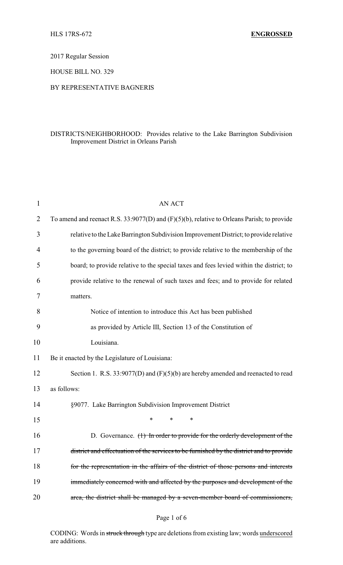2017 Regular Session

HOUSE BILL NO. 329

### BY REPRESENTATIVE BAGNERIS

### DISTRICTS/NEIGHBORHOOD: Provides relative to the Lake Barrington Subdivision Improvement District in Orleans Parish

| 1  | <b>AN ACT</b>                                                                                   |
|----|-------------------------------------------------------------------------------------------------|
| 2  | To amend and reenact R.S. $33:9077(D)$ and $(F)(5)(b)$ , relative to Orleans Parish; to provide |
| 3  | relative to the Lake Barrington Subdivision Improvement District; to provide relative           |
| 4  | to the governing board of the district; to provide relative to the membership of the            |
| 5  | board; to provide relative to the special taxes and fees levied within the district; to         |
| 6  | provide relative to the renewal of such taxes and fees; and to provide for related              |
| 7  | matters.                                                                                        |
| 8  | Notice of intention to introduce this Act has been published                                    |
| 9  | as provided by Article III, Section 13 of the Constitution of                                   |
| 10 | Louisiana.                                                                                      |
| 11 | Be it enacted by the Legislature of Louisiana:                                                  |
| 12 | Section 1. R.S. $33:9077(D)$ and $(F)(5)(b)$ are hereby amended and reenacted to read           |
| 13 | as follows:                                                                                     |
| 14 | §9077. Lake Barrington Subdivision Improvement District                                         |
| 15 | $\ast$<br>$\ast$<br>∗                                                                           |
| 16 | D. Governance. $(1)$ In order to provide for the orderly development of the                     |
| 17 | district and effectuation of the services to be furnished by the district and to provide        |
| 18 | for the representation in the affairs of the district of those persons and interests            |
| 19 | immediately concerned with and affected by the purposes and development of the                  |
| 20 | area, the district shall be managed by a seven-member board of commissioners,                   |
|    |                                                                                                 |

### Page 1 of 6

CODING: Words in struck through type are deletions from existing law; words underscored are additions.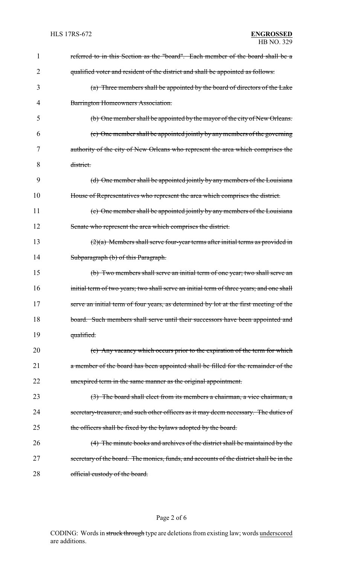| 1              | referred to in this Section as the "board". Each member of the board shall be a          |
|----------------|------------------------------------------------------------------------------------------|
| $\overline{2}$ | qualified voter and resident of the district and shall be appointed as follows:          |
| 3              | (a) Three members shall be appointed by the board of directors of the Lake               |
| 4              | Barrington Homeowners Association.                                                       |
| 5              | (b) One member shall be appointed by the mayor of the city of New Orleans.               |
| 6              | (c) One member shall be appointed jointly by any members of the governing                |
| 7              | authority of the city of New Orleans who represent the area which comprises the          |
| 8              | district.                                                                                |
| 9              | (d) One member shall be appointed jointly by any members of the Louisiana                |
| 10             | House of Representatives who represent the area which comprises the district.            |
| 11             | (e) One member shall be appointed jointly by any members of the Louisiana                |
| 12             | Senate who represent the area which comprises the district.                              |
| 13             | $(2)(a)$ Members shall serve four-year terms after initial terms as provided in          |
| 14             | Subparagraph (b) of this Paragraph.                                                      |
| 15             | (b) Two members shall serve an initial term of one year; two shall serve an              |
| 16             | initial term of two years; two shall serve an initial term of three years; and one shall |
| 17             | serve an initial term of four years, as determined by lot at the first meeting of the    |
| 18             | board. Such members shall serve until their successors have been appointed and           |
| 19             | qualified.                                                                               |
| 20             | (c) Any vacancy which occurs prior to the expiration of the term for which               |
| 21             | a member of the board has been appointed shall be filled for the remainder of the        |
| 22             | unexpired term in the same manner as the original appointment.                           |
| 23             | (3) The board shall elect from its members a chairman, a vice chairman, a                |
| 24             | secretary-treasurer, and such other officers as it may deem necessary. The duties of     |
| 25             | the officers shall be fixed by the bylaws adopted by the board.                          |
| 26             | (4) The minute books and archives of the district shall be maintained by the             |
| 27             | secretary of the board. The monies, funds, and accounts of the district shall be in the  |
| 28             | official custody of the board.                                                           |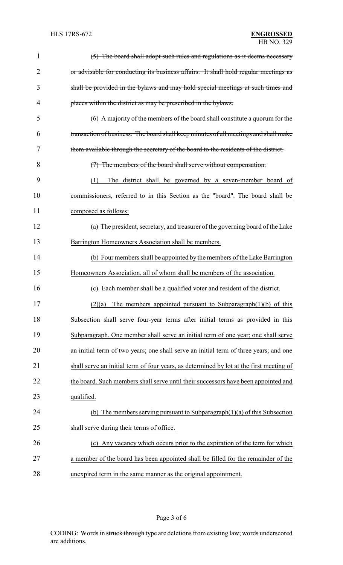| $\mathbf{1}$   | (5) The board shall adopt such rules and regulations as it deems necessary              |
|----------------|-----------------------------------------------------------------------------------------|
| $\overline{2}$ | or advisable for conducting its business affairs. It shall hold regular meetings as     |
| 3              | shall be provided in the bylaws and may hold special meetings at such times and         |
| 4              | places within the district as may be prescribed in the bylaws.                          |
| 5              | $(6)$ A majority of the members of the board shall constitute a quorum for the          |
| 6              | transaction of business. The board shall keep minutes of all meetings and shall make    |
| 7              | them available through the secretary of the board to the residents of the district.     |
| 8              | (7) The members of the board shall serve without compensation.                          |
| 9              | The district shall be governed by a seven-member board of<br>(1)                        |
| 10             | commissioners, referred to in this Section as the "board". The board shall be           |
| 11             | composed as follows:                                                                    |
| 12             | (a) The president, secretary, and treasurer of the governing board of the Lake          |
| 13             | Barrington Homeowners Association shall be members.                                     |
| 14             | (b) Four members shall be appointed by the members of the Lake Barrington               |
| 15             | Homeowners Association, all of whom shall be members of the association.                |
| 16             | (c) Each member shall be a qualified voter and resident of the district.                |
| 17             | $(2)(a)$ The members appointed pursuant to Subparagraph $(1)(b)$ of this                |
| 18             | Subsection shall serve four-year terms after initial terms as provided in this          |
| 19             | Subparagraph. One member shall serve an initial term of one year; one shall serve       |
| 20             | an initial term of two years; one shall serve an initial term of three years; and one   |
| 21             | shall serve an initial term of four years, as determined by lot at the first meeting of |
| 22             | the board. Such members shall serve until their successors have been appointed and      |
| 23             | qualified.                                                                              |
| 24             | (b) The members serving pursuant to Subparagraph $(1)(a)$ of this Subsection            |
| 25             | shall serve during their terms of office.                                               |
| 26             | (c) Any vacancy which occurs prior to the expiration of the term for which              |
| 27             | a member of the board has been appointed shall be filled for the remainder of the       |
| 28             | unexpired term in the same manner as the original appointment.                          |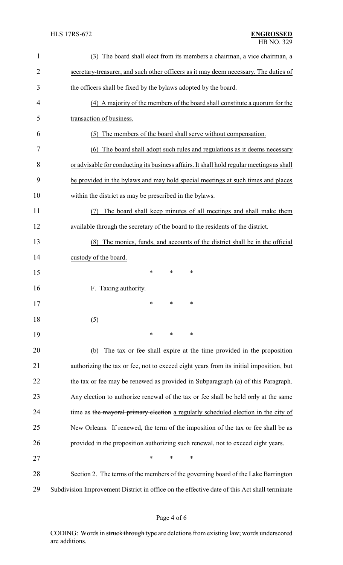| 1              | The board shall elect from its members a chairman, a vice chairman, a<br>(3)                 |
|----------------|----------------------------------------------------------------------------------------------|
| $\overline{2}$ | secretary-treasurer, and such other officers as it may deem necessary. The duties of         |
| 3              | the officers shall be fixed by the bylaws adopted by the board.                              |
| 4              | (4) A majority of the members of the board shall constitute a quorum for the                 |
| 5              | transaction of business.                                                                     |
| 6              | The members of the board shall serve without compensation.<br>(5)                            |
| 7              | The board shall adopt such rules and regulations as it deems necessary<br>(6)                |
| 8              | or advisable for conducting its business affairs. It shall hold regular meetings as shall    |
| 9              | be provided in the bylaws and may hold special meetings at such times and places             |
| 10             | within the district as may be prescribed in the bylaws.                                      |
| 11             | The board shall keep minutes of all meetings and shall make them<br>(7)                      |
| 12             | available through the secretary of the board to the residents of the district.               |
| 13             | (8) The monies, funds, and accounts of the district shall be in the official                 |
| 14             | custody of the board.                                                                        |
| 15             | $\ast$<br>$\ast$<br>*                                                                        |
| 16             | F. Taxing authority.                                                                         |
| 17             | $*$ *                                                                                        |
| 18             | (5)                                                                                          |
| 19             | $\ast$<br>∗<br>∗                                                                             |
| 20             | The tax or fee shall expire at the time provided in the proposition<br>(b)                   |
| 21             | authorizing the tax or fee, not to exceed eight years from its initial imposition, but       |
| 22             | the tax or fee may be renewed as provided in Subparagraph (a) of this Paragraph.             |
| 23             | Any election to authorize renewal of the tax or fee shall be held only at the same           |
| 24             | time as the mayoral primary election a regularly scheduled election in the city of           |
| 25             | New Orleans. If renewed, the term of the imposition of the tax or fee shall be as            |
| 26             | provided in the proposition authorizing such renewal, not to exceed eight years.             |
| 27             | $\ast$<br>∗<br>*                                                                             |
| 28             | Section 2. The terms of the members of the governing board of the Lake Barrington            |
| 29             | Subdivision Improvement District in office on the effective date of this Act shall terminate |

# Page 4 of 6

CODING: Words in struck through type are deletions from existing law; words underscored are additions.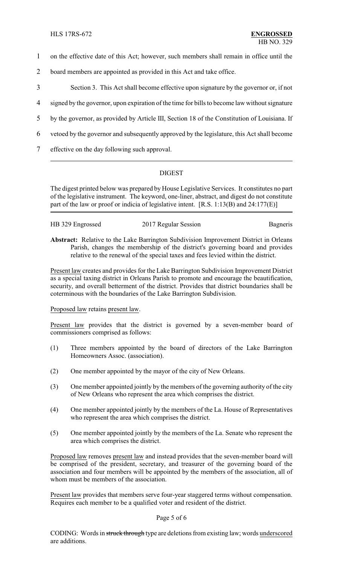- 1 on the effective date of this Act; however, such members shall remain in office until the
- 2 board members are appointed as provided in this Act and take office.
- 3 Section 3. This Act shall become effective upon signature by the governor or, if not
- 4 signed by the governor, upon expiration of the time for bills to become law without signature
- 5 by the governor, as provided by Article III, Section 18 of the Constitution of Louisiana. If
- 6 vetoed by the governor and subsequently approved by the legislature, this Act shall become
- 7 effective on the day following such approval.

## DIGEST

The digest printed below was prepared by House Legislative Services. It constitutes no part of the legislative instrument. The keyword, one-liner, abstract, and digest do not constitute part of the law or proof or indicia of legislative intent. [R.S. 1:13(B) and 24:177(E)]

| HB 329 Engrossed | 2017 Regular Session | Bagneris |
|------------------|----------------------|----------|
|                  |                      |          |

**Abstract:** Relative to the Lake Barrington Subdivision Improvement District in Orleans Parish, changes the membership of the district's governing board and provides relative to the renewal of the special taxes and fees levied within the district.

Present law creates and provides for the Lake Barrington Subdivision Improvement District as a special taxing district in Orleans Parish to promote and encourage the beautification, security, and overall betterment of the district. Provides that district boundaries shall be coterminous with the boundaries of the Lake Barrington Subdivision.

### Proposed law retains present law.

Present law provides that the district is governed by a seven-member board of commissioners comprised as follows:

- (1) Three members appointed by the board of directors of the Lake Barrington Homeowners Assoc. (association).
- (2) One member appointed by the mayor of the city of New Orleans.
- (3) One member appointed jointly by the members of the governing authority of the city of New Orleans who represent the area which comprises the district.
- (4) One member appointed jointly by the members of the La. House of Representatives who represent the area which comprises the district.
- (5) One member appointed jointly by the members of the La. Senate who represent the area which comprises the district.

Proposed law removes present law and instead provides that the seven-member board will be comprised of the president, secretary, and treasurer of the governing board of the association and four members will be appointed by the members of the association, all of whom must be members of the association.

Present law provides that members serve four-year staggered terms without compensation. Requires each member to be a qualified voter and resident of the district.

#### Page 5 of 6

CODING: Words in struck through type are deletions from existing law; words underscored are additions.